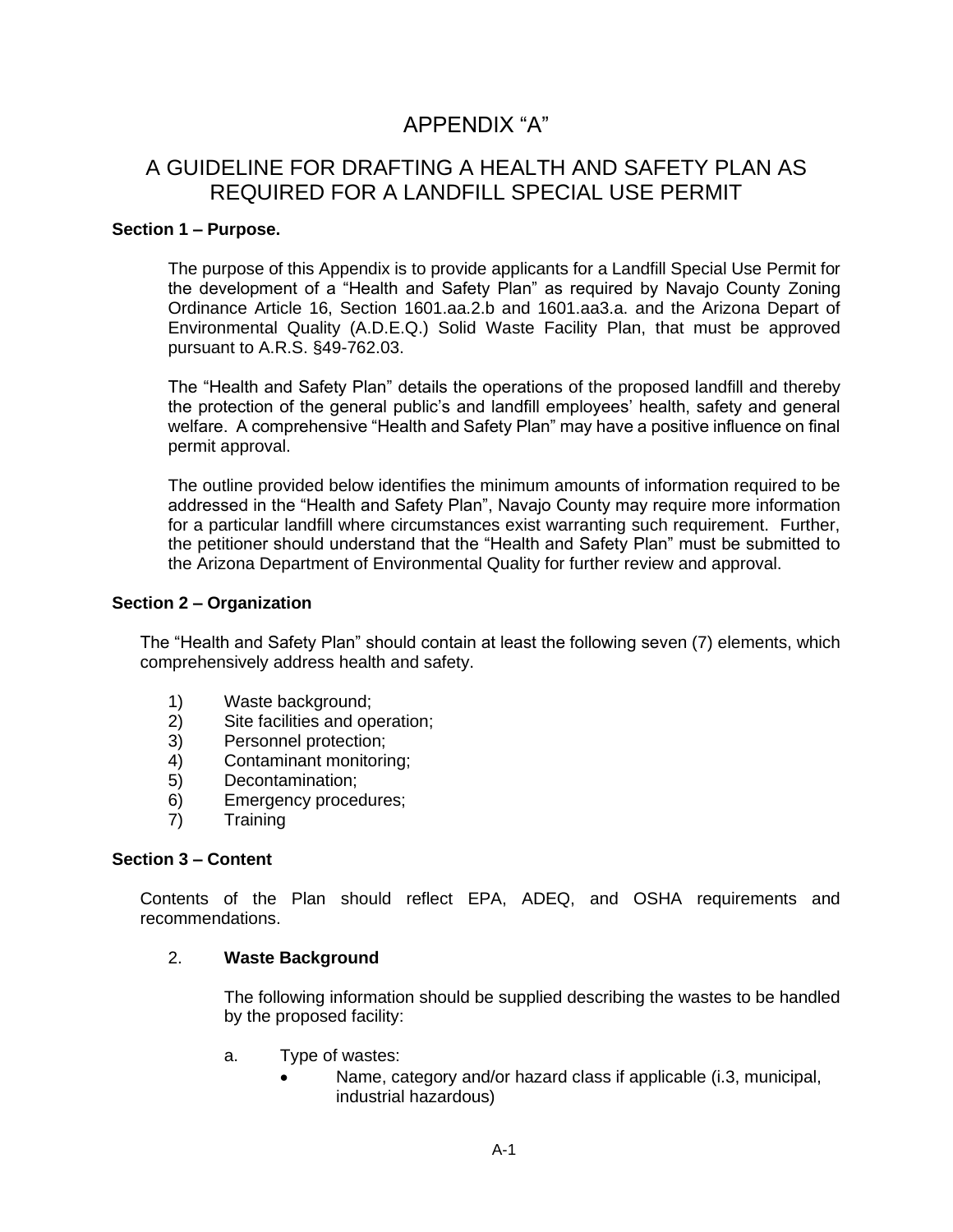# APPENDIX "A"

# A GUIDELINE FOR DRAFTING A HEALTH AND SAFETY PLAN AS REQUIRED FOR A LANDFILL SPECIAL USE PERMIT

## **Section 1 – Purpose.**

The purpose of this Appendix is to provide applicants for a Landfill Special Use Permit for the development of a "Health and Safety Plan" as required by Navajo County Zoning Ordinance Article 16, Section 1601.aa.2.b and 1601.aa3.a. and the Arizona Depart of Environmental Quality (A.D.E.Q.) Solid Waste Facility Plan, that must be approved pursuant to A.R.S. §49-762.03.

The "Health and Safety Plan" details the operations of the proposed landfill and thereby the protection of the general public's and landfill employees' health, safety and general welfare. A comprehensive "Health and Safety Plan" may have a positive influence on final permit approval.

The outline provided below identifies the minimum amounts of information required to be addressed in the "Health and Safety Plan", Navajo County may require more information for a particular landfill where circumstances exist warranting such requirement. Further, the petitioner should understand that the "Health and Safety Plan" must be submitted to the Arizona Department of Environmental Quality for further review and approval.

### **Section 2 – Organization**

The "Health and Safety Plan" should contain at least the following seven (7) elements, which comprehensively address health and safety.

- 1) Waste background;
- 2) Site facilities and operation;
- 3) Personnel protection;
- 4) Contaminant monitoring;
- 5) Decontamination;
- 6) Emergency procedures;
- 7) Training

### **Section 3 – Content**

Contents of the Plan should reflect EPA, ADEQ, and OSHA requirements and recommendations.

### 2. **Waste Background**

The following information should be supplied describing the wastes to be handled by the proposed facility:

- a. Type of wastes:
	- Name, category and/or hazard class if applicable (i.3, municipal, industrial hazardous)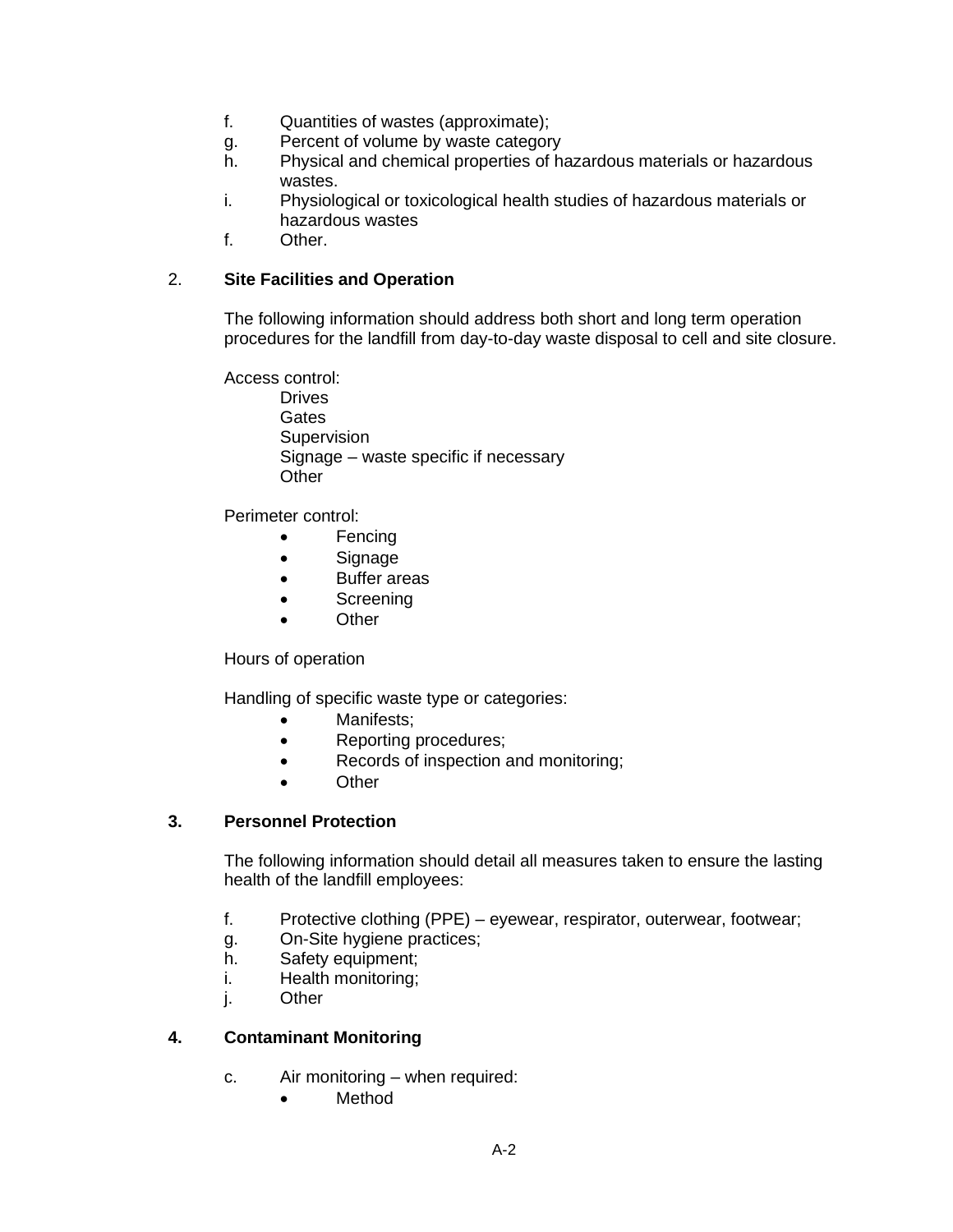- f. Quantities of wastes (approximate);
- g. Percent of volume by waste category
- h. Physical and chemical properties of hazardous materials or hazardous wastes.
- i. Physiological or toxicological health studies of hazardous materials or hazardous wastes
- f. Other.

## 2. **Site Facilities and Operation**

The following information should address both short and long term operation procedures for the landfill from day-to-day waste disposal to cell and site closure.

Access control: **Drives Gates** Supervision Signage – waste specific if necessary **Other** 

Perimeter control:

- Fencing
- Signage
- Buffer areas
- Screening
- Other

Hours of operation

Handling of specific waste type or categories:

- Manifests;
- Reporting procedures;
- Records of inspection and monitoring;
- Other

## **3. Personnel Protection**

The following information should detail all measures taken to ensure the lasting health of the landfill employees:

- f. Protective clothing (PPE) eyewear, respirator, outerwear, footwear;
- g. On-Site hygiene practices;
- h. Safety equipment;
- i. Health monitoring;
- j. Other

### **4. Contaminant Monitoring**

- c. Air monitoring when required:
	- Method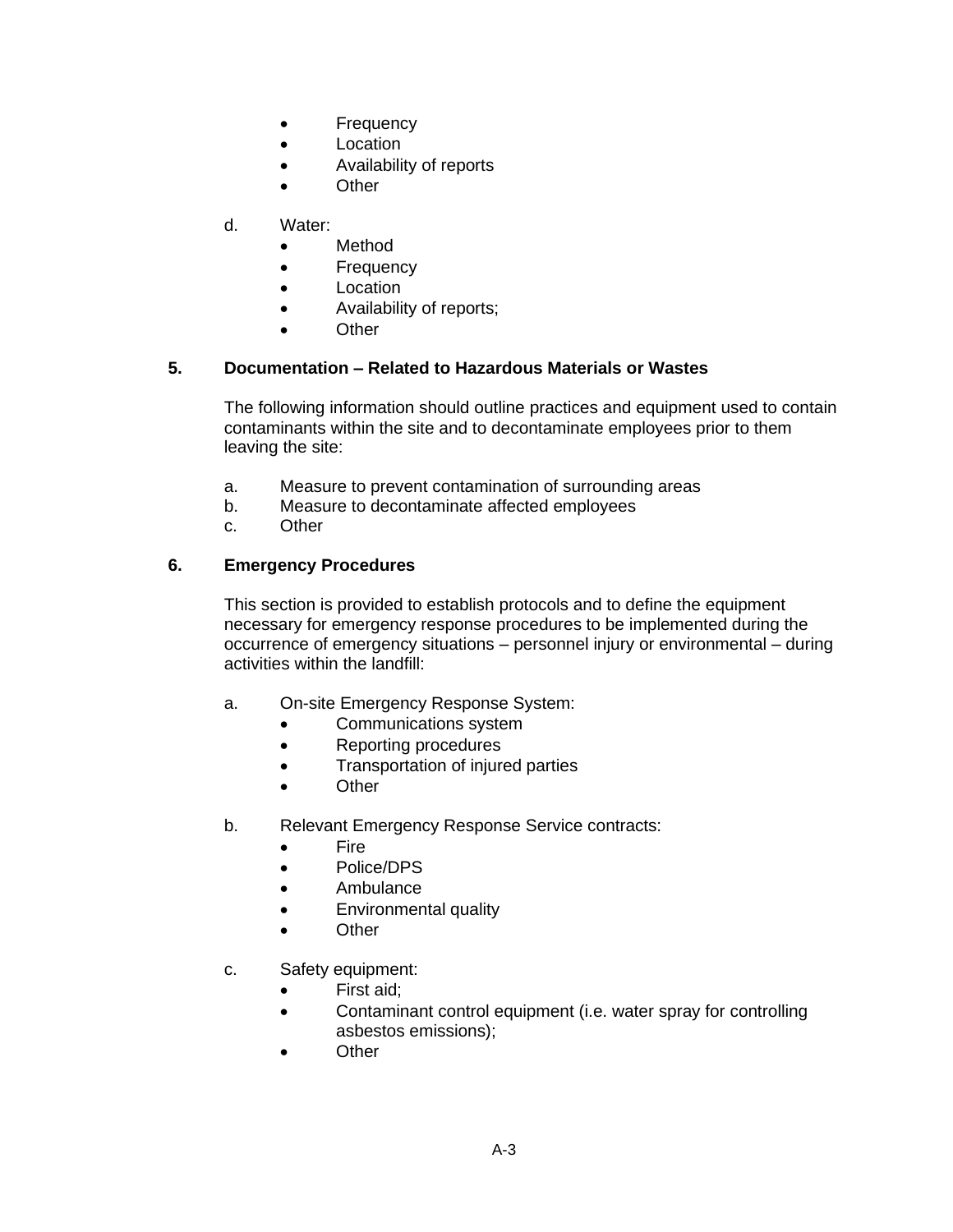- Frequency
- **Location**
- Availability of reports
- Other
- d. Water:
	- **Method**
	- Frequency
	- Location
	- Availability of reports;
	- Other

## **5. Documentation – Related to Hazardous Materials or Wastes**

The following information should outline practices and equipment used to contain contaminants within the site and to decontaminate employees prior to them leaving the site:

- a. Measure to prevent contamination of surrounding areas
- b. Measure to decontaminate affected employees
- c. Other

## **6. Emergency Procedures**

This section is provided to establish protocols and to define the equipment necessary for emergency response procedures to be implemented during the occurrence of emergency situations – personnel injury or environmental – during activities within the landfill:

- a. On-site Emergency Response System:
	- Communications system
	- Reporting procedures
	- Transportation of injured parties
	- Other
- b. Relevant Emergency Response Service contracts:
	- Fire
	- Police/DPS
	- Ambulance
	- Environmental quality
	- Other
- c. Safety equipment:
	- First aid;
	- Contaminant control equipment (i.e. water spray for controlling asbestos emissions);
	- **Other**